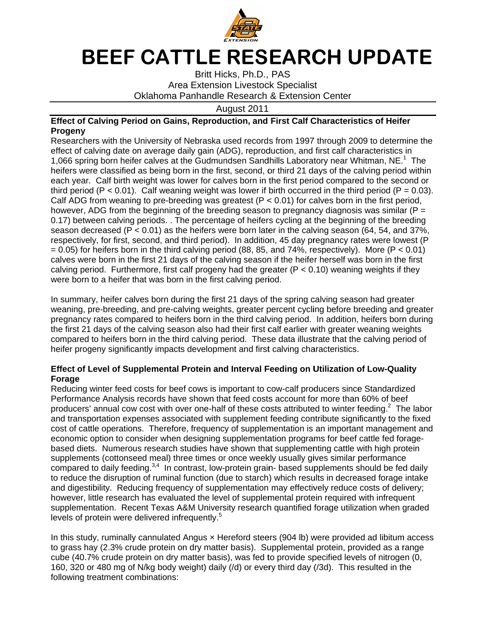

## BEEF CATTLE RESEARCH UPDATE

Oklahoma Panhandle Research & Extension Center Britt Hicks Hicks, Ph.D., PAS Britt Hicks, Ph.D., P<br>Area Extension Livestock<br>12 August 2011 Specialist

August August 2011

## Effect of Calving Period on Gains, Reproduction, and First Calf Characteristics of Heifer **Progeny**

Researchers with the University of Nebraska used records from 1997 through 2009 to determine the Researchers with the University of Nebraska used records from 1997 through 2009 to determine<br>effect of calving date on average daily gain (ADG), reproduction, and first calf characteristics in<br>1,066 spring born heifer cal effect of calving date on average daily gain (ADG), reproduction, and first calf characteristics in<br>1,066 spring born heifer calves at the Gudmundsen Sandhills Laboratory near Whitman, NE.<sup>1</sup> The heifers were classified as being born heifers were classified as being born in the first, second, or third 21 days of the calving period within<br>each year. Calf birth weight was lower for calves born in the first period compared to the second or third period ( $P < 0.01$ ). Calf weaning weight was lower if birth occurred in the third period ( $P = 0.03$ ). Calf ADG from weaning to pre-breeding was greatest ( $P < 0.01$ ) for calves born in the first period, however, ADG from the beginning of the breeding season to pregnancy diagnosis however, ADG from the beginning of the breeding season to pregnancy<br>0.17) between calving periods. . The percentage of heifers cycling at the season decreased (P < 0.01) as the heifers were born later in (64, 54, and 37%, season decreased (P < 0.01) as the heifers were born later in the calving season (64, 54, and 37%,<br>respectively, for first, second, and third period). In addition, 45 day pregnancy rates were lowest (P = 0.05) for heifers born in the third calving period (88, 0.05) for heifers born the third calves were born in the first 21 days of the calving season if the heifer herself was born in the first calves were born in the first 21 days of the calving season if the heifer herself was born in the<br>calving period. Furthermore, first calf progeny had the greater (P < 0.10) weaning weights if th were born to a heifer that was born in the first calving period. ,066 spring born heifer calv<br>eifers were classified as be<br>ach year. Calf birth weight Calf ADG from weaning to pre-breeding was greatest  $(P < 0.01)$  for calves born in<br>however, ADG from the beginning of the breeding season to pregnancy diagnosis<br>0.17) between calving periods. . The percentage of heifers cyc Area Extension Livestock Specialist<br>
2011 Oklahoma Panhandle Research & Extension<br>
1011 August 2011<br>
1011 August 2011<br>
1011 August 2011<br>
1011 August 2011<br>
1011 August 2011<br>
1011 August 2011<br>
1011 August 2011<br>
1011 Cabsing , for first, second, and the<br>ieifers born in the third co<br>born in the first 21 days in the first, second, or third 21 days of the calving period within reaning weight was lower if birth occurred in the third period-bending vasa greatest (P < 0.01) for calves born in thing of the breeding season to pregnancy diagnosis. The percentage of heifers cycling at the beginnin as 85, and 74%, respectively). More  $(P < 0.01)$ from weaning to pre-breeding was greatest ( $P < 0.01$ ) for calves born in the first period,<br>ADG from the beginning of the breeding season to pregnancy diagnosis was similar ( $P =$ <br>veen calving periods. . The percentage of h beriod (88, 85, and 74%, respectively). More (P < 0.0<br>calving season if the heifer herself was born in the fir-<br>eny had the greater (P < 0.10) weaning weights if the<br>rst calving period.<br>irst 21 days of the spring calving in birth occurred in the third period ( $P = 0.0$ <br>  $< 0.01$ ) for calves born in the first period,<br>
n to pregnancy diagnosis was similar ( $P =$ <br>
rs cycling at the beginning of the breeding<br>
ier in the calving season (64, 54, and

were born to a heifer that was born in the first calving period.<br>In summary, heifer calves born during the first 21 days of the spring calving season had greater calving period. Furthermore, first calf progeny had the greater (P < 0.10) weaning weights if they<br>were born to a heifer that was born in the first calving period.<br>In summary, heifer calves born during the first 21 days of pregnancy rates compared to heifers born in the third calving period. In addition, heifers born during pregnancy rates compared to heifers born in the third calving period. In addition, heifers t<br>the first 21 days of the calving season also had their first calf earlier with greater weaning compared to heifers born in the third calving period. These data illustrate that the c compared to heifers born in the third calving period. These data illustrate that the<br>heifer progeny significantly impacts development and first calving characteristics. on also had their first calf earlier with greater weaning weight<br>calving period. These data illustrate that the calving period<br>development and first calving characteristics.<br>cows is important to cow-calf producers since St the spring calving season had greater<br>ercent cycling before breeding and grea<br>ing period. In addition, heifers born duri<br>calf earlier with greater weaning weights calving period of alving

## Effect of Level of Supplemental Protein and Interval Feeding on Utilization of Low-Quality **Forage**

Reducing winter feed costs for beef cows is important to cow Performance Analysis records have shown that feed costs account for more than 60% of beef Performance Analysis records have shown that feed costs account for more than 60% of beef<br>producers' annual cow cost with over one-half of these costs attributed to winter feeding.<sup>2</sup> The labor Performance Analysis records have shown that feed costs account for more than 60% of beef<br>producers' annual cow cost with over one-half of these costs attributed to winter feeding.<sup>2</sup> The labor<br>and transportation expenses cost of cattle operations. Therefore, frequency of supplementation is an important management and economic option to consider when designing supplementation programs for beef cattle fed foragebased diets. Numerous research studies have shown that supplementing cattle with high protein supplements (cottonseed meal) three times or once weekly usually gives similar performance and transportation expenses associated with supplement feeding contribute significantly to the fixed<br>cost of cattle operations. Therefore, frequency of supplementation is an important management and<br>economic option to cons to reduce the disruption of ruminal function (due to starch) which results in decreased forage intake and digestibility. digestibility. Reducing frequency of supplementation may effectivel however, little research has evaluated the level of supplemental protein required with infrequent however, little research has evaluated the level of supplemental protein required with infrequent<br>supplementation. Recent Texas A&M University research quantified forage utilization when graded<br>levels of protein were deli levels of protein were delivered infrequently.<sup>5</sup> beef cows is important to cow-calf producers since Standa<br>have shown that feed costs account for more than 60% of<br>h over one-half of these costs attributed to winter feeding.<sup>2</sup> Reducing frequency of supplementation r<br>earch has evaluated the level of supplem<br>Recent Texas A&M University research al function (due to starch) which results in decreased forage<br>ency of supplementation may effectively reduce costs of deli<br>tated the level of supplemental protein required with infreque<br>A&M University research quantified f Reducing winter feed costs for beef cows is important to cow-calf producers since Standardized<br>Performance Analysis records have shown that feed costs account for more than 60% of beef<br>producers' annual cow cost with over ion to consider when designing supplementation programs for beef cattle fed forage-<br>Numerous research studies have shown that supplementing cattle with high protein<br>(cottonseed meal) three times or once weekly usually give fixed I to daily feeding.<sup>3,4</sup> In contrast, low-protein grain- based supplements should be fed daily<br>the disruption of ruminal function (due to starch) which results in decreased forage intake<br>tibility. Reducing frequency of su ruminal function (due to starch) which results in decreased forage intake

In this study, ruminally cannulated Angus x Hereford steers (904 lb) were provided ad libitum access to grass hay (2.3% crude protein on dry matter basis) cube (40.7% crude protein on dry matter basis), was fed to provide specified level 160, 320 or 480 mg of N/kg body weight) daily (/d) or every third day (/3d). This resulted in the following treatment combinations: ndy, ruminally cannulated Angus × Hereford<br>hay (2.3% crude protein on dry matter basis)<br>7% crude protein on dry matter basis), was f<br>or 480 mg of N/kg body weight) daily (/d) or basis). Supplemental protein, provided as a range Supplemental protein, provided as a range natter basis). Supplemental protein, provided as a<br>pasis), was fed to provide specified levels of nitroge<br>daily (/d) or every third day (/3d). This resulted in t was fed to provide specified levels of nitrogen protein required with infrequent<br>ified forage utilization when grade<br>(b) were provided ad libitum acce<br>ental protein, provided as a range<br>de specified levels of nitrogen (0,